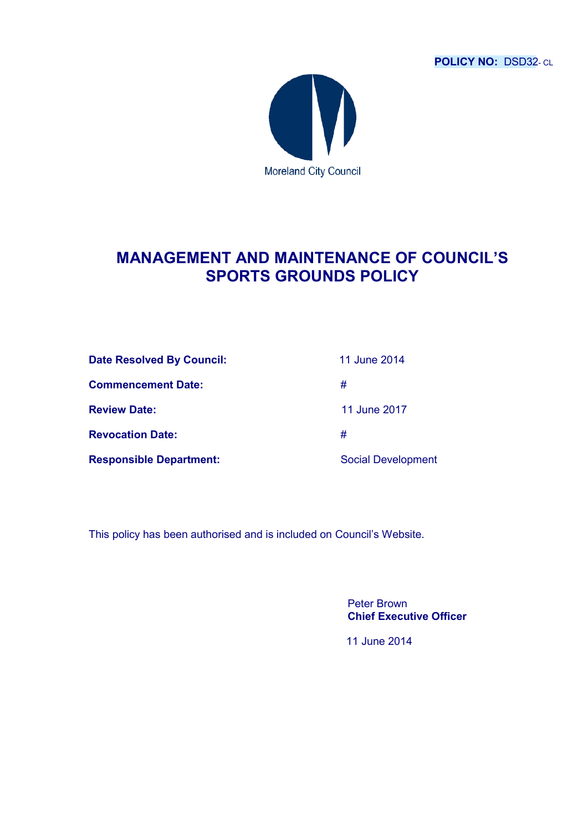**POLICY NO:** DSD32- CL



# **MANAGEMENT AND MAINTENANCE OF COUNCIL'S SPORTS GROUNDS POLICY**

| <b>Date Resolved By Council:</b> | 11 June 2014              |
|----------------------------------|---------------------------|
| <b>Commencement Date:</b>        | #                         |
| <b>Review Date:</b>              | 11 June 2017              |
| <b>Revocation Date:</b>          | #                         |
| <b>Responsible Department:</b>   | <b>Social Development</b> |

This policy has been authorised and is included on Council's Website.

Peter Brown **Chief Executive Officer**

11 June 2014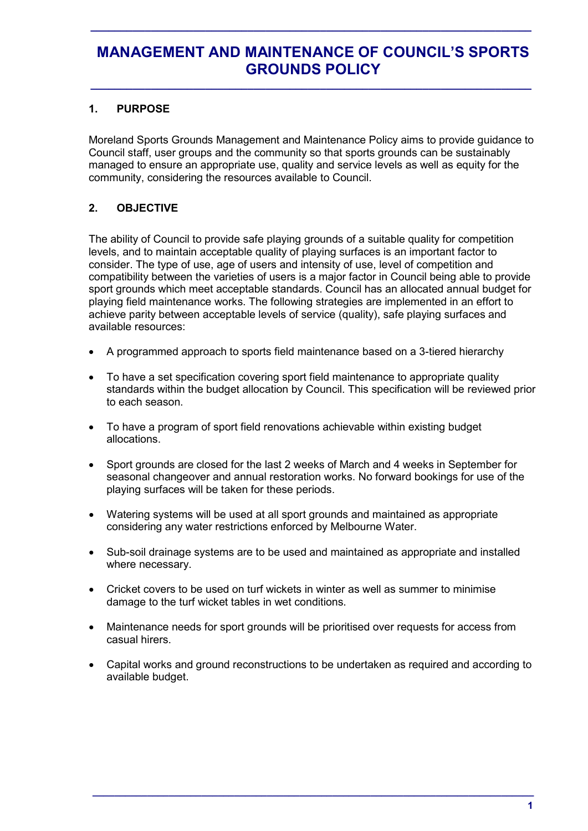**\_\_\_\_\_\_\_\_\_\_\_\_\_\_\_\_\_\_\_\_\_\_\_\_\_\_\_\_\_\_\_\_\_\_\_\_\_\_\_\_\_\_\_\_\_\_\_\_\_\_\_\_\_\_\_\_\_\_\_\_\_\_\_\_\_\_\_\_\_\_\_\_\_** 

**\_\_\_\_\_\_\_\_\_\_\_\_\_\_\_\_\_\_\_\_\_\_\_\_\_\_\_\_\_\_\_\_\_\_\_\_\_\_\_\_\_\_\_\_\_\_\_\_\_\_\_\_\_\_\_\_\_\_\_\_\_\_\_\_\_\_\_\_\_\_\_\_\_** 

### **1. PURPOSE**

Moreland Sports Grounds Management and Maintenance Policy aims to provide guidance to Council staff, user groups and the community so that sports grounds can be sustainably managed to ensure an appropriate use, quality and service levels as well as equity for the community, considering the resources available to Council.

### **2. OBJECTIVE**

The ability of Council to provide safe playing grounds of a suitable quality for competition levels, and to maintain acceptable quality of playing surfaces is an important factor to consider. The type of use, age of users and intensity of use, level of competition and compatibility between the varieties of users is a major factor in Council being able to provide sport grounds which meet acceptable standards. Council has an allocated annual budget for playing field maintenance works. The following strategies are implemented in an effort to achieve parity between acceptable levels of service (quality), safe playing surfaces and available resources:

- A programmed approach to sports field maintenance based on a 3-tiered hierarchy
- To have a set specification covering sport field maintenance to appropriate quality standards within the budget allocation by Council. This specification will be reviewed prior to each season.
- To have a program of sport field renovations achievable within existing budget allocations.
- Sport grounds are closed for the last 2 weeks of March and 4 weeks in September for seasonal changeover and annual restoration works. No forward bookings for use of the playing surfaces will be taken for these periods.
- Watering systems will be used at all sport grounds and maintained as appropriate considering any water restrictions enforced by Melbourne Water.
- Sub-soil drainage systems are to be used and maintained as appropriate and installed where necessary.
- Cricket covers to be used on turf wickets in winter as well as summer to minimise damage to the turf wicket tables in wet conditions.
- Maintenance needs for sport grounds will be prioritised over requests for access from casual hirers.
- Capital works and ground reconstructions to be undertaken as required and according to available budget.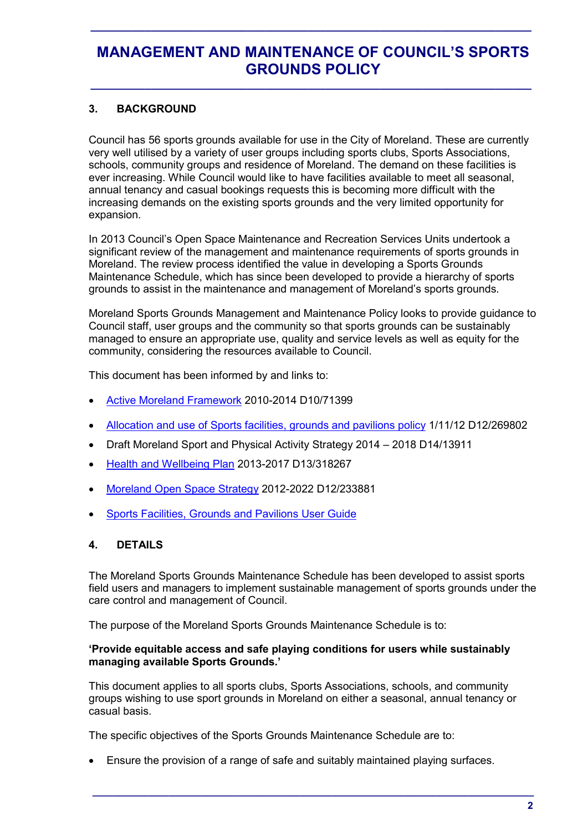**\_\_\_\_\_\_\_\_\_\_\_\_\_\_\_\_\_\_\_\_\_\_\_\_\_\_\_\_\_\_\_\_\_\_\_\_\_\_\_\_\_\_\_\_\_\_\_\_\_\_\_\_\_\_\_\_\_\_\_\_\_\_\_\_\_\_\_\_\_\_\_\_\_** 

**\_\_\_\_\_\_\_\_\_\_\_\_\_\_\_\_\_\_\_\_\_\_\_\_\_\_\_\_\_\_\_\_\_\_\_\_\_\_\_\_\_\_\_\_\_\_\_\_\_\_\_\_\_\_\_\_\_\_\_\_\_\_\_\_\_\_\_\_\_\_\_\_\_** 

#### **3. BACKGROUND**

Council has 56 sports grounds available for use in the City of Moreland. These are currently very well utilised by a variety of user groups including sports clubs, Sports Associations, schools, community groups and residence of Moreland. The demand on these facilities is ever increasing. While Council would like to have facilities available to meet all seasonal, annual tenancy and casual bookings requests this is becoming more difficult with the increasing demands on the existing sports grounds and the very limited opportunity for expansion.

In 2013 Council's Open Space Maintenance and Recreation Services Units undertook a significant review of the management and maintenance requirements of sports grounds in Moreland. The review process identified the value in developing a Sports Grounds Maintenance Schedule, which has since been developed to provide a hierarchy of sports grounds to assist in the maintenance and management of Moreland's sports grounds.

Moreland Sports Grounds Management and Maintenance Policy looks to provide guidance to Council staff, user groups and the community so that sports grounds can be sustainably managed to ensure an appropriate use, quality and service levels as well as equity for the community, considering the resources available to Council.

This document has been informed by and links to:

- [Active Moreland Framework](http://www.moreland.vic.gov.au/mccwr/publications/policies-strategies-plans/active%20moreland%20framework%202010-2014%20-%20council%20resolved.pdf) 2010-2014 D10/71399
- Allocation and use of Sports [facilities, grounds and pavilions policy](http://www.moreland.vic.gov.au/about-council/publications/home_policies-and-strategies.html) 1/11/12 D12/269802
- Draft Moreland Sport and Physical Activity Strategy 2014 2018 D14/13911
- [Health and Wellbeing Plan](http://www.moreland.vic.gov.au/mccwr/publications/policies-strategies-plans/health%20and%20wellbeing%20plan%202010%20-%202014%20-%20council%20resolved.pdf) 2013-2017 D13/318267
- [Moreland Open Space Strategy](http://www.moreland.vic.gov.au/mccwr/publications/policies-strategies-plans/moss%20pulished%20document%202012-22.pdf) 2012-2022 D12/233881
- Sports [Facilities, Grounds and Pavilions User Guide](http://www.activemoreland.com.au/Documents/Moreland%20Sports%20Clubs/RS%20-%20Sports%20ground%20user%20guide%202013.pdf)

#### **4. DETAILS**

The Moreland Sports Grounds Maintenance Schedule has been developed to assist sports field users and managers to implement sustainable management of sports grounds under the care control and management of Council.

The purpose of the Moreland Sports Grounds Maintenance Schedule is to:

#### **'Provide equitable access and safe playing conditions for users while sustainably managing available Sports Grounds.'**

This document applies to all sports clubs, Sports Associations, schools, and community groups wishing to use sport grounds in Moreland on either a seasonal, annual tenancy or casual basis.

The specific objectives of the Sports Grounds Maintenance Schedule are to:

• Ensure the provision of a range of safe and suitably maintained playing surfaces.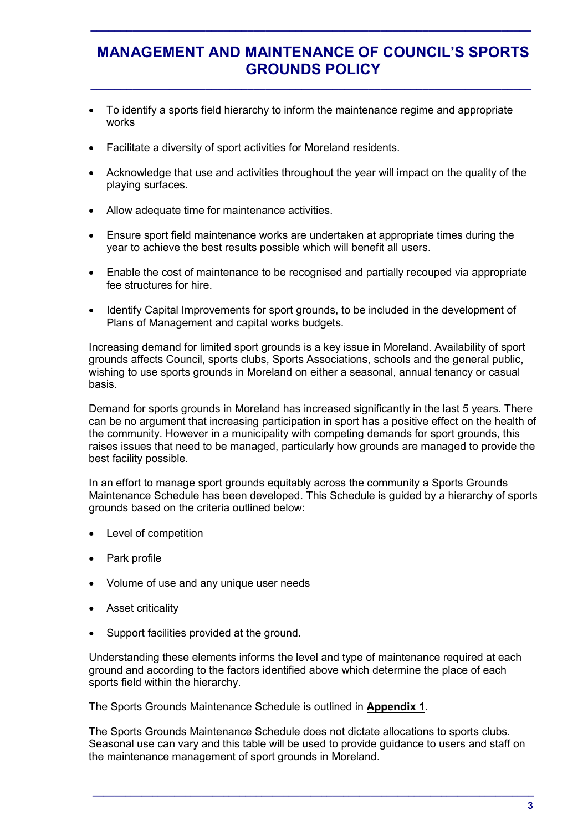**\_\_\_\_\_\_\_\_\_\_\_\_\_\_\_\_\_\_\_\_\_\_\_\_\_\_\_\_\_\_\_\_\_\_\_\_\_\_\_\_\_\_\_\_\_\_\_\_\_\_\_\_\_\_\_\_\_\_\_\_\_\_\_\_\_\_\_\_\_\_\_\_\_** 

**\_\_\_\_\_\_\_\_\_\_\_\_\_\_\_\_\_\_\_\_\_\_\_\_\_\_\_\_\_\_\_\_\_\_\_\_\_\_\_\_\_\_\_\_\_\_\_\_\_\_\_\_\_\_\_\_\_\_\_\_\_\_\_\_\_\_\_\_\_\_\_\_\_** 

- To identify a sports field hierarchy to inform the maintenance regime and appropriate works
- Facilitate a diversity of sport activities for Moreland residents.
- Acknowledge that use and activities throughout the year will impact on the quality of the playing surfaces.
- Allow adequate time for maintenance activities.
- Ensure sport field maintenance works are undertaken at appropriate times during the year to achieve the best results possible which will benefit all users.
- Enable the cost of maintenance to be recognised and partially recouped via appropriate fee structures for hire.
- Identify Capital Improvements for sport grounds, to be included in the development of Plans of Management and capital works budgets.

Increasing demand for limited sport grounds is a key issue in Moreland. Availability of sport grounds affects Council, sports clubs, Sports Associations, schools and the general public, wishing to use sports grounds in Moreland on either a seasonal, annual tenancy or casual basis.

Demand for sports grounds in Moreland has increased significantly in the last 5 years. There can be no argument that increasing participation in sport has a positive effect on the health of the community. However in a municipality with competing demands for sport grounds, this raises issues that need to be managed, particularly how grounds are managed to provide the best facility possible.

In an effort to manage sport grounds equitably across the community a Sports Grounds Maintenance Schedule has been developed. This Schedule is guided by a hierarchy of sports grounds based on the criteria outlined below:

- Level of competition
- Park profile
- Volume of use and any unique user needs
- Asset criticality
- Support facilities provided at the ground.

Understanding these elements informs the level and type of maintenance required at each ground and according to the factors identified above which determine the place of each sports field within the hierarchy.

The Sports Grounds Maintenance Schedule is outlined in **Appendix 1** .

The Sports Grounds Maintenance Schedule does not dictate allocations to sports clubs. Seasonal use can vary and this table will be used to provide guidance to users and staff on the maintenance management of sport grounds in Moreland.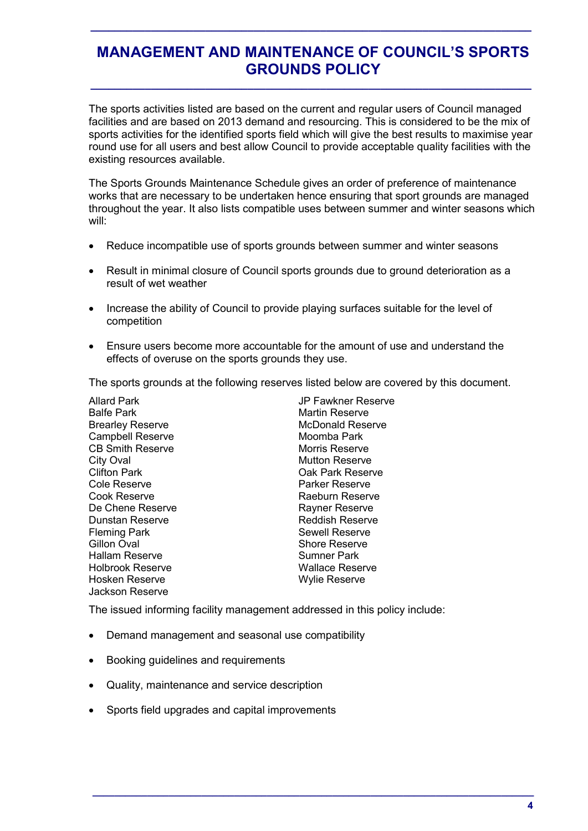**\_\_\_\_\_\_\_\_\_\_\_\_\_\_\_\_\_\_\_\_\_\_\_\_\_\_\_\_\_\_\_\_\_\_\_\_\_\_\_\_\_\_\_\_\_\_\_\_\_\_\_\_\_\_\_\_\_\_\_\_\_\_\_\_\_\_\_\_\_\_\_\_\_** 

**\_\_\_\_\_\_\_\_\_\_\_\_\_\_\_\_\_\_\_\_\_\_\_\_\_\_\_\_\_\_\_\_\_\_\_\_\_\_\_\_\_\_\_\_\_\_\_\_\_\_\_\_\_\_\_\_\_\_\_\_\_\_\_\_\_\_\_\_\_\_\_\_\_** 

The sports activities listed are based on the current and regular users of Council managed facilities and are based on 2013 demand and resourcing. This is considered to be the mix of sports activities for the identified sports field which will give the best results to maximise year round use for all users and best allow Council to provide acceptable quality facilities with the existing resources available.

The Sports Grounds Maintenance Schedule gives an order of preference of maintenance works that are necessary to be undertaken hence ensuring that sport grounds are managed throughout the year. It also lists compatible uses between summer and winter seasons which will:

- Reduce incompatible use of sports grounds between summer and winter seasons
- Result in minimal closure of Council sports grounds due to ground deterioration as a result of wet weather
- Increase the ability of Council to provide playing surfaces suitable for the level of competition
- Ensure users become more accountable for the amount of use and understand the effects of overuse on the sports grounds they use.

The sports grounds at the following reserves listed below are covered by this document.

Allard Park JP Fawkner Reserve Balfe Park Martin Reserve Brearley Reserve<br>
Campbell Reserve 
and the Moomba Park<br>
Moomba Park Campbell Reserve **Moomba Park**<br>CB Smith Reserve **Moomba Park CB Smith Reserve** City Oval **Mutton Reserve**<br>Clifton Park **Mutton Reserve**<br>Clifton Park Clifton Park **Clifton Park Clifton Park Reserve**<br>Cole Reserve **Cole Reserve** Cole Reserve Parker Reserve De Chene Reserve **Rayner Reserve** Rayner Reserve Dunstan Reserve **Reddish Reserve** Fleming Park **Sewell Reserve** Sewell Reserve Gillon Oval Shore Reserve Hallam Reserve Holbrook Reserve Wallace Reserve Hosken Reserve Wylie Reserve Jackson Reserve

Raeburn Reserve

The issued informing facility management addressed in this policy include:

- Demand management and seasonal use compatibility
- Booking guidelines and requirements
- Quality, maintenance and service description
- Sports field upgrades and capital improvements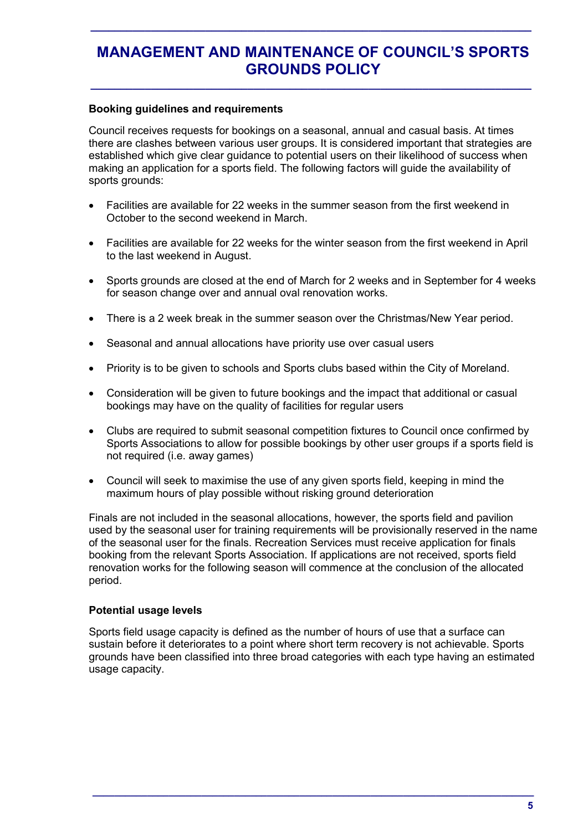**\_\_\_\_\_\_\_\_\_\_\_\_\_\_\_\_\_\_\_\_\_\_\_\_\_\_\_\_\_\_\_\_\_\_\_\_\_\_\_\_\_\_\_\_\_\_\_\_\_\_\_\_\_\_\_\_\_\_\_\_\_\_\_\_\_\_\_\_\_\_\_\_\_** 

**\_\_\_\_\_\_\_\_\_\_\_\_\_\_\_\_\_\_\_\_\_\_\_\_\_\_\_\_\_\_\_\_\_\_\_\_\_\_\_\_\_\_\_\_\_\_\_\_\_\_\_\_\_\_\_\_\_\_\_\_\_\_\_\_\_\_\_\_\_\_\_\_\_** 

#### **Booking guidelines and requirements**

Council receives requests for bookings on a seasonal, annual and casual basis. At times there are clashes between various user groups. It is considered important that strategies are established which give clear guidance to potential users on their likelihood of success when making an application for a sports field. The following factors will guide the availability of sports grounds:

- Facilities are available for 22 weeks in the summer season from the first weekend in October to the second weekend in March.
- Facilities are available for 22 weeks for the winter season from the first weekend in April to the last weekend in August.
- Sports grounds are closed at the end of March for 2 weeks and in September for 4 weeks for season change over and annual oval renovation works.
- There is a 2 week break in the summer season over the Christmas/New Year period.
- Seasonal and annual allocations have priority use over casual users
- Priority is to be given to schools and Sports clubs based within the City of Moreland.
- Consideration will be given to future bookings and the impact that additional or casual bookings may have on the quality of facilities for regular users
- Clubs are required to submit seasonal competition fixtures to Council once confirmed by Sports Associations to allow for possible bookings by other user groups if a sports field is not required (i.e. away games)
- Council will seek to maximise the use of any given sports field, keeping in mind the maximum hours of play possible without risking ground deterioration

Finals are not included in the seasonal allocations, however, the sports field and pavilion used by the seasonal user for training requirements will be provisionally reserved in the name of the seasonal user for the finals. Recreation Services must receive application for finals booking from the relevant Sports Association. If applications are not received, sports field renovation works for the following season will commence at the conclusion of the allocated period.

#### **Potential usage levels**

Sports field usage capacity is defined as the number of hours of use that a surface can sustain before it deteriorates to a point where short term recovery is not achievable. Sports grounds have been classified into three broad categories with each type having an estimated usage capacity.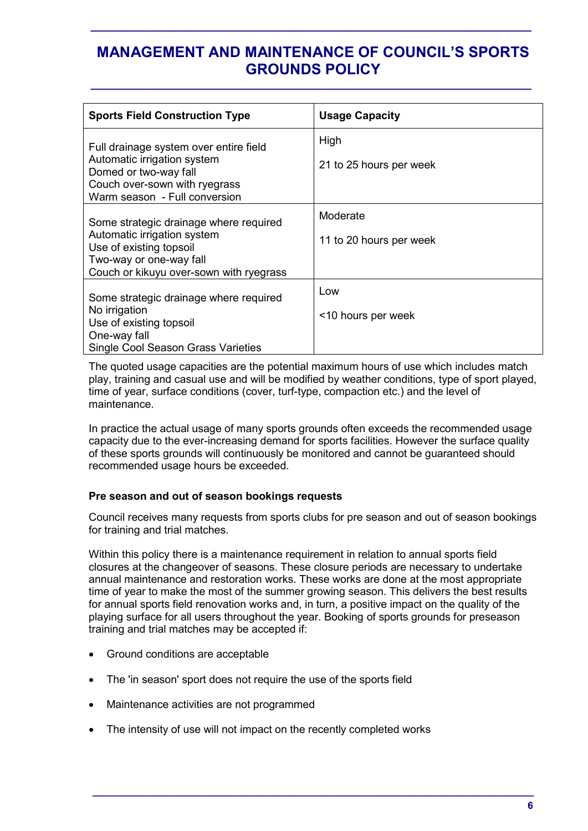**\_\_\_\_\_\_\_\_\_\_\_\_\_\_\_\_\_\_\_\_\_\_\_\_\_\_\_\_\_\_\_\_\_\_\_\_\_\_\_\_\_\_\_\_\_\_\_\_\_\_\_\_\_\_\_\_\_\_\_\_\_\_\_\_\_\_\_\_\_\_\_\_\_** 

**\_\_\_\_\_\_\_\_\_\_\_\_\_\_\_\_\_\_\_\_\_\_\_\_\_\_\_\_\_\_\_\_\_\_\_\_\_\_\_\_\_\_\_\_\_\_\_\_\_\_\_\_\_\_\_\_\_\_\_\_\_\_\_\_\_\_\_\_\_\_\_\_\_** 

| <b>Sports Field Construction Type</b>                                                                                                                                  | <b>Usage Capacity</b>               |
|------------------------------------------------------------------------------------------------------------------------------------------------------------------------|-------------------------------------|
| Full drainage system over entire field<br>Automatic irrigation system<br>Domed or two-way fall<br>Couch over-sown with ryegrass<br>Warm season - Full conversion       | High<br>21 to 25 hours per week     |
| Some strategic drainage where required<br>Automatic irrigation system<br>Use of existing topsoil<br>Two-way or one-way fall<br>Couch or kikuyu over-sown with ryegrass | Moderate<br>11 to 20 hours per week |
| Some strategic drainage where required<br>No irrigation<br>Use of existing topsoil<br>One-way fall<br><b>Single Cool Season Grass Varieties</b>                        | Low<br><10 hours per week           |

The quoted usage capacities are the potential maximum hours of use which includes match play, training and casual use and will be modified by weather conditions, type of sport played, time of year, surface conditions (cover, turf-type, compaction etc.) and the level of maintenance.

In practice the actual usage of many sports grounds often exceeds the recommended usage capacity due to the ever-increasing demand for sports facilities. However the surface quality of these sports grounds will continuously be monitored and cannot be guaranteed should recommended usage hours be exceeded.

#### **Pre season and out of season bookings requests**

Council receives many requests from sports clubs for pre season and out of season bookings for training and trial matches.

Within this policy there is a maintenance requirement in relation to annual sports field closures at the changeover of seasons. These closure periods are necessary to undertake annual maintenance and restoration works. These works are done at the most appropriate time of year to make the most of the summer growing season. This delivers the best results for annual sports field renovation works and, in turn, a positive impact on the quality of the playing surface for all users throughout the year. Booking of sports grounds for preseason training and trial matches may be accepted if:

- Ground conditions are acceptable
- The 'in season' sport does not require the use of the sports field
- Maintenance activities are not programmed
- The intensity of use will not impact on the recently completed works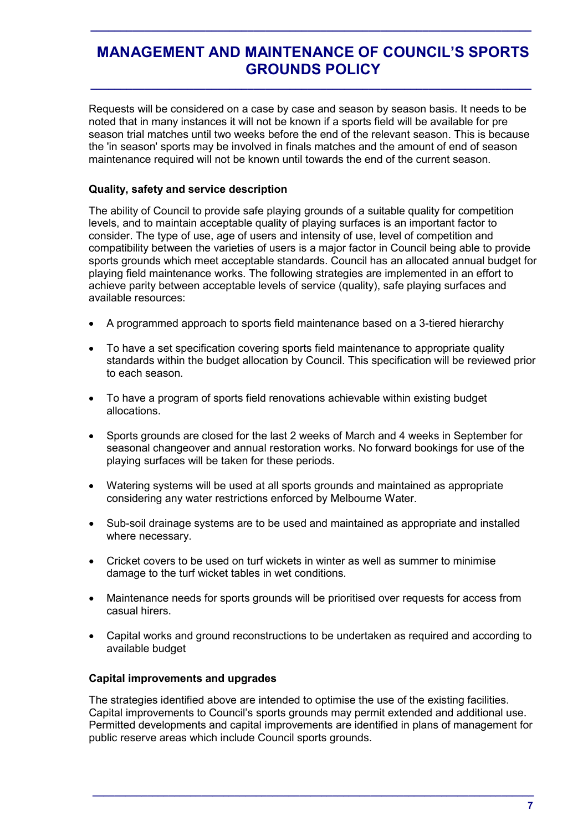**\_\_\_\_\_\_\_\_\_\_\_\_\_\_\_\_\_\_\_\_\_\_\_\_\_\_\_\_\_\_\_\_\_\_\_\_\_\_\_\_\_\_\_\_\_\_\_\_\_\_\_\_\_\_\_\_\_\_\_\_\_\_\_\_\_\_\_\_\_\_\_\_\_** 

**\_\_\_\_\_\_\_\_\_\_\_\_\_\_\_\_\_\_\_\_\_\_\_\_\_\_\_\_\_\_\_\_\_\_\_\_\_\_\_\_\_\_\_\_\_\_\_\_\_\_\_\_\_\_\_\_\_\_\_\_\_\_\_\_\_\_\_\_\_\_\_\_\_** 

Requests will be considered on a case by case and season by season basis. It needs to be noted that in many instances it will not be known if a sports field will be available for pre season trial matches until two weeks before the end of the relevant season. This is because the 'in season' sports may be involved in finals matches and the amount of end of season maintenance required will not be known until towards the end of the current season.

#### **Quality, safety and service description**

The ability of Council to provide safe playing grounds of a suitable quality for competition levels, and to maintain acceptable quality of playing surfaces is an important factor to consider. The type of use, age of users and intensity of use, level of competition and compatibility between the varieties of users is a major factor in Council being able to provide sports grounds which meet acceptable standards. Council has an allocated annual budget for playing field maintenance works. The following strategies are implemented in an effort to achieve parity between acceptable levels of service (quality), safe playing surfaces and available resources:

- A programmed approach to sports field maintenance based on a 3-tiered hierarchy
- To have a set specification covering sports field maintenance to appropriate quality standards within the budget allocation by Council. This specification will be reviewed prior to each season.
- To have a program of sports field renovations achievable within existing budget allocations.
- Sports grounds are closed for the last 2 weeks of March and 4 weeks in September for seasonal changeover and annual restoration works. No forward bookings for use of the playing surfaces will be taken for these periods.
- Watering systems will be used at all sports grounds and maintained as appropriate considering any water restrictions enforced by Melbourne Water.
- Sub-soil drainage systems are to be used and maintained as appropriate and installed where necessary.
- Cricket covers to be used on turf wickets in winter as well as summer to minimise damage to the turf wicket tables in wet conditions.
- Maintenance needs for sports grounds will be prioritised over requests for access from casual hirers.
- Capital works and ground reconstructions to be undertaken as required and according to available budget

#### **Capital improvements and upgrades**

The strategies identified above are intended to optimise the use of the existing facilities. Capital improvements to Council's sports grounds may permit extended and additional use. Permitted developments and capital improvements are identified in plans of management for public reserve areas which include Council sports grounds.